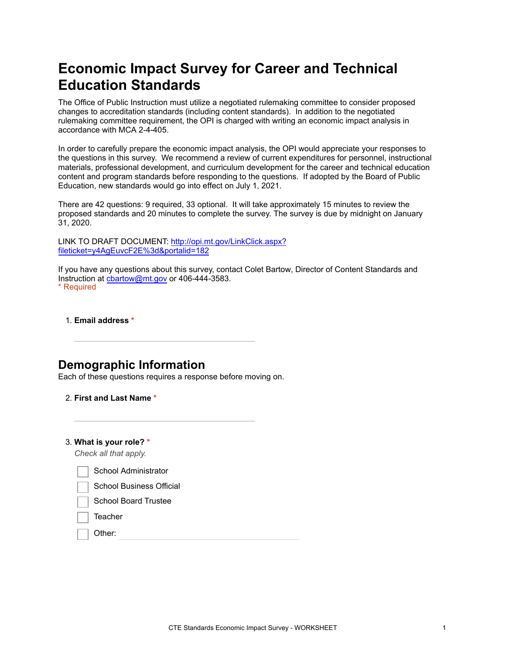# **Economic Impact Survey for Career and Technical Education Standards**

The Office of Public Instruction must utilize a negotiated rulemaking committee to consider proposed changes to accreditation standards (including content standards). In addition to the negotiated rulemaking committee requirement, the OPI is charged with writing an economic impact analysis in accordance with MCA 2-4-405.

In order to carefully prepare the economic impact analysis, the OPI would appreciate your responses to the questions in this survey. We recommend a review of current expenditures for personnel, instructional materials, professional development, and curriculum development for the career and technical education content and program standards before responding to the questions. If adopted by the Board of Public Education, new standards would go into effect on July 1, 2021.

There are 42 questions: 9 required, 33 optional. It will take approximately 15 minutes to review the proposed standards and 20 minutes to complete the survey. The survey is due by midnight on January 31, 2020.

[LINK TO DRAFT DOCUMENT: http://opi.mt.gov/LinkClick.aspx?](https://www.google.com/url?q=http://opi.mt.gov/LinkClick.aspx?fileticket%3Dy4AgEuvcF2E%253d%26portalid%3D182&sa=D&ust=1576621207163000&usg=AFQjCNHWYVtSoen2Z_6qnMiaU7tLnLLzNQ) fileticket=y4AgEuvcF2E%3d&portalid=182

If you have any questions about this survey, contact Colet Bartow, Director of Content Standards and Instruction at [cbartow@mt.gov](mailto:cbartow@mt.gov) or 406-444-3583. \* Required

1. **Email address \***

### **Demographic Information**

Each of these questions requires a response before moving on.

- 2. **First and Last Name \***
- 3. **What is your role? \***

*Check all that apply.*

School Administrator

School Board Trustee

**Teacher** 

Other: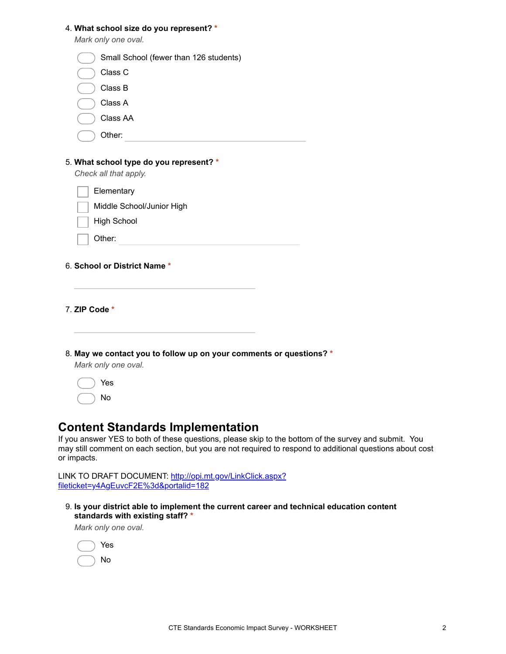| 4. What school size do you represent? *<br>Mark only one oval.                             |
|--------------------------------------------------------------------------------------------|
| Small School (fewer than 126 students)                                                     |
| Class C                                                                                    |
| Class B                                                                                    |
| Class A                                                                                    |
| Class AA                                                                                   |
| Other:                                                                                     |
|                                                                                            |
| 5. What school type do you represent? *<br>Check all that apply.                           |
| Elementary                                                                                 |
| Middle School/Junior High                                                                  |
| <b>High School</b>                                                                         |
| Other:                                                                                     |
|                                                                                            |
| 6. School or District Name *                                                               |
|                                                                                            |
|                                                                                            |
| 7. ZIP Code *                                                                              |
|                                                                                            |
|                                                                                            |
| 8. May we contact you to follow up on your comments or questions? *<br>Mark only one oval. |
| Yes                                                                                        |

### **Content Standards Implementation**

If you answer YES to both of these questions, please skip to the bottom of the survey and submit. You may still comment on each section, but you are not required to respond to additional questions about cost or impacts.

[LINK TO DRAFT DOCUMENT: http://opi.mt.gov/LinkClick.aspx?](https://www.google.com/url?q=http://opi.mt.gov/LinkClick.aspx?fileticket%3Dy4AgEuvcF2E%253d%26portalid%3D182&sa=D&ust=1576621207170000&usg=AFQjCNFoc6MvB8-V2ZHAFGmGsEL8AAA4KA) fileticket=y4AgEuvcF2E%3d&portalid=182

9. **Is your district able to implement the current career and technical education content standards with existing staff? \***

*Mark only one oval.*

No

|  | Yes |
|--|-----|
|  | No  |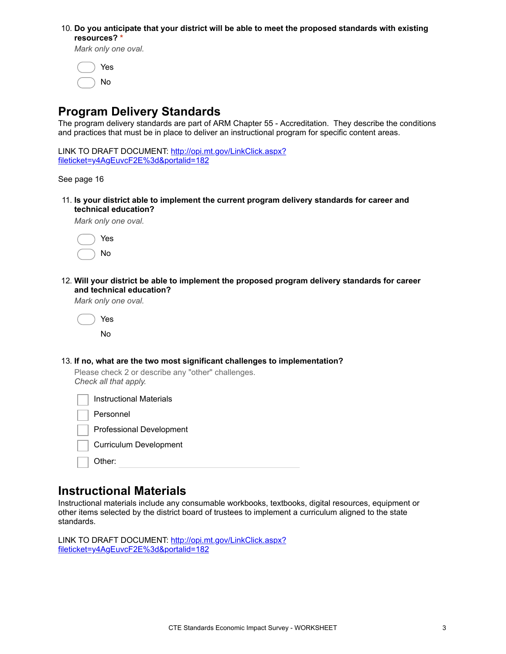#### 10. **Do you anticipate that your district will be able to meet the proposed standards with existing resources? \***

*Mark only one oval.*

|  | Yes |
|--|-----|
|  | No  |

## **Program Delivery Standards**

The program delivery standards are part of ARM Chapter 55 - Accreditation. They describe the conditions and practices that must be in place to deliver an instructional program for specific content areas.

[LINK TO DRAFT DOCUMENT: http://opi.mt.gov/LinkClick.aspx?](https://www.google.com/url?q=http://opi.mt.gov/LinkClick.aspx?fileticket%3Dy4AgEuvcF2E%253d%26portalid%3D182&sa=D&ust=1576621207171000&usg=AFQjCNEUeBZYI1NTYhB3gV8kPyNz9rdHIw) fileticket=y4AgEuvcF2E%3d&portalid=182

See page 16

11. **Is your district able to implement the current program delivery standards for career and technical education?**

*Mark only one oval.*

|  | Yes |
|--|-----|
|  | No  |

12. **Will your district be able to implement the proposed program delivery standards for career and technical education?**

*Mark only one oval.*

|  | Yes |
|--|-----|
|  | No  |

13. **If no, what are the two most significant challenges to implementation?**

Please check 2 or describe any "other" challenges. *Check all that apply.*

|           | Instructional Materials         |
|-----------|---------------------------------|
| Personnel |                                 |
|           | <b>Professional Development</b> |
|           | <b>Curriculum Development</b>   |
| Other:    |                                 |
|           |                                 |

#### **Instructional Materials**

Instructional materials include any consumable workbooks, textbooks, digital resources, equipment or other items selected by the district board of trustees to implement a curriculum aligned to the state standards.

[LINK TO DRAFT DOCUMENT: http://opi.mt.gov/LinkClick.aspx?](https://www.google.com/url?q=http://opi.mt.gov/LinkClick.aspx?fileticket%3Dy4AgEuvcF2E%253d%26portalid%3D182&sa=D&ust=1576621207172000&usg=AFQjCNFtJa4JZSvDOYanvREDbSV2ZLxmig) fileticket=y4AgEuvcF2E%3d&portalid=182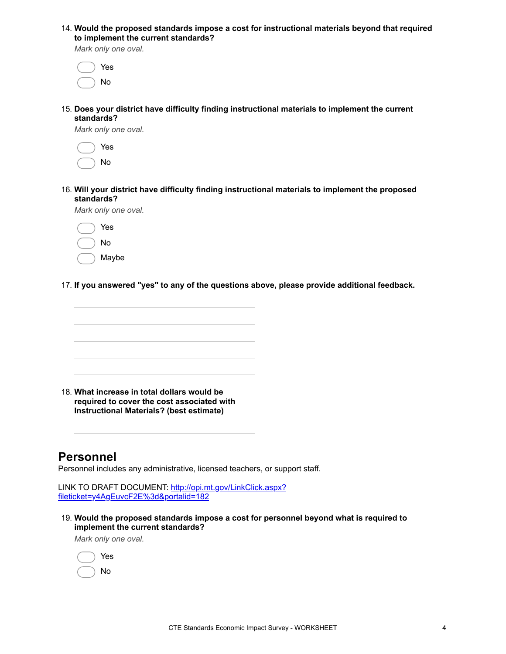14. **Would the proposed standards impose a cost for instructional materials beyond that required to implement the current standards?**

*Mark only one oval.*

|  | Yes |
|--|-----|
|  | No  |

15. **Does your district have difficulty finding instructional materials to implement the current standards?**

*Mark only one oval.*

|  | Yes |
|--|-----|
|  | No  |

16. **Will your district have difficulty finding instructional materials to implement the proposed standards?**

*Mark only one oval.*

| Yes   |
|-------|
| N٥    |
| Maybe |

17. **If you answered "yes" to any of the questions above, please provide additional feedback.**



18. **What increase in total dollars would be required to cover the cost associated with Instructional Materials? (best estimate)**

# **Personnel**

Personnel includes any administrative, licensed teachers, or support staff.

[LINK TO DRAFT DOCUMENT: http://opi.mt.gov/LinkClick.aspx?](https://www.google.com/url?q=http://opi.mt.gov/LinkClick.aspx?fileticket%3Dy4AgEuvcF2E%253d%26portalid%3D182&sa=D&ust=1576621207174000&usg=AFQjCNF4adFmXbcN-_-UC6MSz13RwazceQ) fileticket=y4AgEuvcF2E%3d&portalid=182

19. **Would the proposed standards impose a cost for personnel beyond what is required to implement the current standards?**

*Mark only one oval.*

|  | Yes |
|--|-----|
|  | No  |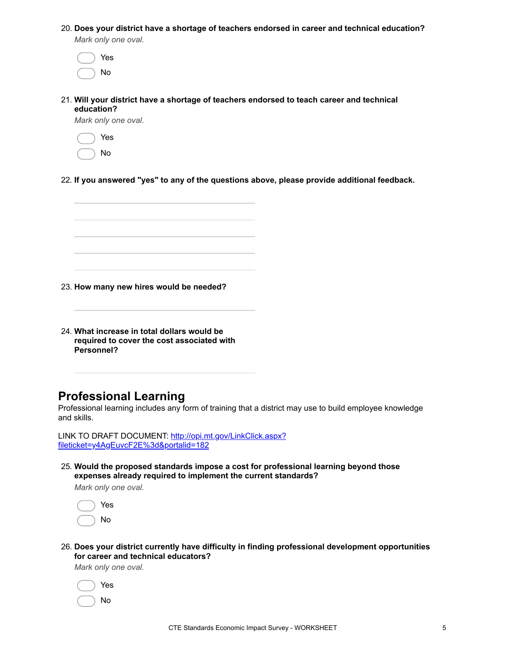20. **Does your district have a shortage of teachers endorsed in career and technical education?**

*Mark only one oval.*

| Yes |
|-----|
| No  |

21. **Will your district have a shortage of teachers endorsed to teach career and technical education?**

*Mark only one oval.*

|  | Yes |
|--|-----|
|  | No  |

22. **If you answered "yes" to any of the questions above, please provide additional feedback.**

23. **How many new hires would be needed?**

24. **What increase in total dollars would be required to cover the cost associated with Personnel?**

### **Professional Learning**

Professional learning includes any form of training that a district may use to build employee knowledge and skills.

[LINK TO DRAFT DOCUMENT: http://opi.mt.gov/LinkClick.aspx?](https://www.google.com/url?q=http://opi.mt.gov/LinkClick.aspx?fileticket%3Dy4AgEuvcF2E%253d%26portalid%3D182&sa=D&ust=1576621207176000&usg=AFQjCNGsxehD1ZQ1QnxvJgIJ_0lyGL5qVQ) fileticket=y4AgEuvcF2E%3d&portalid=182

25. **Would the proposed standards impose a cost for professional learning beyond those expenses already required to implement the current standards?**

*Mark only one oval.*

|  | Yes |
|--|-----|
|  | No  |

26. **Does your district currently have difficulty in finding professional development opportunities for career and technical educators?**

*Mark only one oval.*

|  | Yes |
|--|-----|
|  | No  |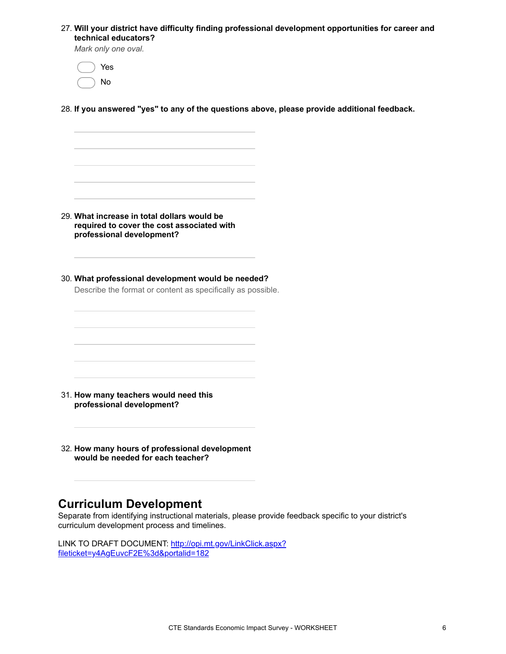27. **Will your district have difficulty finding professional development opportunities for career and technical educators?**

*Mark only one oval.*

 Yes No

28. **If you answered "yes" to any of the questions above, please provide additional feedback.**

29. **What increase in total dollars would be required to cover the cost associated with professional development?**

30. **What professional development would be needed?**

Describe the format or content as specifically as possible.

- 31. **How many teachers would need this professional development?**
- 32. **How many hours of professional development would be needed for each teacher?**

### **Curriculum Development**

Separate from identifying instructional materials, please provide feedback specific to your district's curriculum development process and timelines.

[LINK TO DRAFT DOCUMENT: http://opi.mt.gov/LinkClick.aspx?](https://www.google.com/url?q=http://opi.mt.gov/LinkClick.aspx?fileticket%3Dy4AgEuvcF2E%253d%26portalid%3D182&sa=D&ust=1576621207179000&usg=AFQjCNHDBcvQ603j0UREZYC6cHtXHZa5Hw) fileticket=y4AgEuvcF2E%3d&portalid=182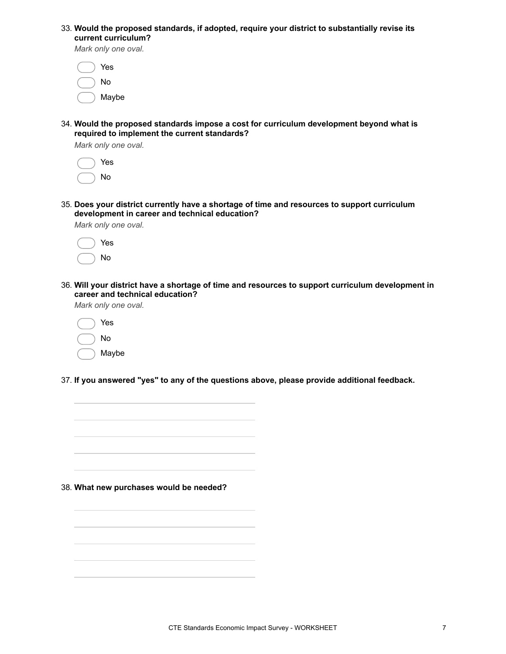| 33. Would the proposed standards, if adopted, require your district to substantially revise its |  |  |  |
|-------------------------------------------------------------------------------------------------|--|--|--|
| current curriculum?                                                                             |  |  |  |

*Mark only one oval.*

| Yes   |
|-------|
| N٥    |
| Maybe |

34. **Would the proposed standards impose a cost for curriculum development beyond what is required to implement the current standards?**

*Mark only one oval.*

|  | Yes |
|--|-----|
|  | No  |

35. **Does your district currently have a shortage of time and resources to support curriculum development in career and technical education?**

*Mark only one oval.*

|  | Yes |
|--|-----|
|  | No  |

36. **Will your district have a shortage of time and resources to support curriculum development in career and technical education?**

*Mark only one oval.*

| Yes   |
|-------|
| N٥    |
| Maybe |

37. **If you answered "yes" to any of the questions above, please provide additional feedback.**

38. **What new purchases would be needed?**